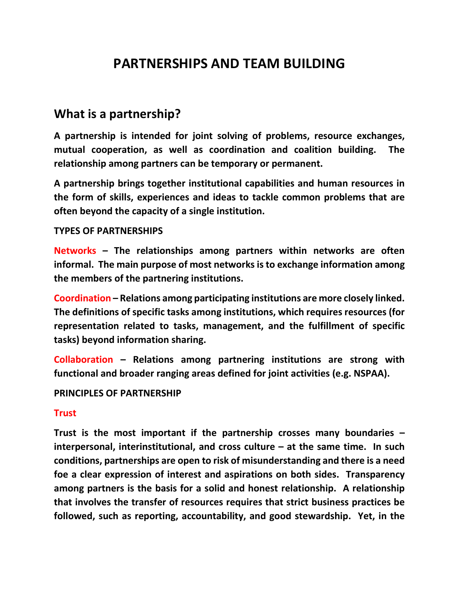# **PARTNERSHIPS AND TEAM BUILDING**

# **What is a partnership?**

**A partnership is intended for joint solving of problems, resource exchanges, mutual cooperation, as well as coordination and coalition building. The relationship among partners can be temporary or permanent.**

**A partnership brings together institutional capabilities and human resources in the form of skills, experiences and ideas to tackle common problems that are often beyond the capacity of a single institution.** 

#### **TYPES OF PARTNERSHIPS**

**Networks – The relationships among partners within networks are often informal. The main purpose of most networks is to exchange information among the members of the partnering institutions.**

**Coordination – Relations among participating institutions are more closely linked. The definitions of specific tasks among institutions, which requires resources (for representation related to tasks, management, and the fulfillment of specific tasks) beyond information sharing.**

**Collaboration – Relations among partnering institutions are strong with functional and broader ranging areas defined for joint activities (e.g. NSPAA).**

#### **PRINCIPLES OF PARTNERSHIP**

#### **Trust**

**Trust is the most important if the partnership crosses many boundaries – interpersonal, interinstitutional, and cross culture – at the same time. In such conditions, partnerships are open to risk of misunderstanding and there is a need foe a clear expression of interest and aspirations on both sides. Transparency among partners is the basis for a solid and honest relationship. A relationship that involves the transfer of resources requires that strict business practices be followed, such as reporting, accountability, and good stewardship. Yet, in the**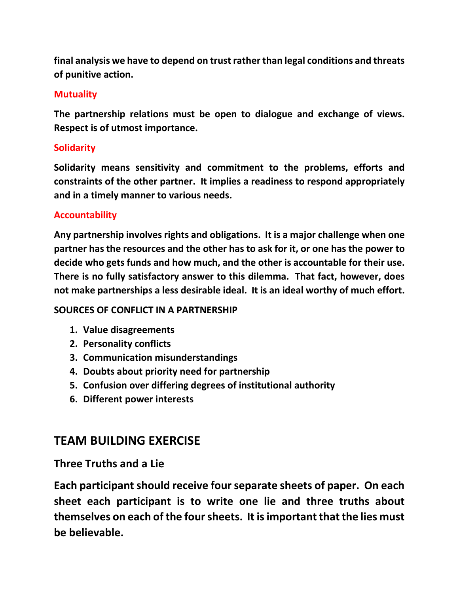**final analysis we have to depend on trust rather than legal conditions and threats of punitive action.**

### **Mutuality**

**The partnership relations must be open to dialogue and exchange of views. Respect is of utmost importance.**

### **Solidarity**

**Solidarity means sensitivity and commitment to the problems, efforts and constraints of the other partner. It implies a readiness to respond appropriately and in a timely manner to various needs.** 

### **Accountability**

**Any partnership involves rights and obligations. It is a major challenge when one partner has the resources and the other has to ask for it, or one has the power to decide who gets funds and how much, and the other is accountable for their use. There is no fully satisfactory answer to this dilemma. That fact, however, does not make partnerships a less desirable ideal. It is an ideal worthy of much effort.**

#### **SOURCES OF CONFLICT IN A PARTNERSHIP**

- **1. Value disagreements**
- **2. Personality conflicts**
- **3. Communication misunderstandings**
- **4. Doubts about priority need for partnership**
- **5. Confusion over differing degrees of institutional authority**
- **6. Different power interests**

## **TEAM BUILDING EXERCISE**

### **Three Truths and a Lie**

**Each participant should receive four separate sheets of paper. On each sheet each participant is to write one lie and three truths about themselves on each of the four sheets. It is important that the lies must be believable.**